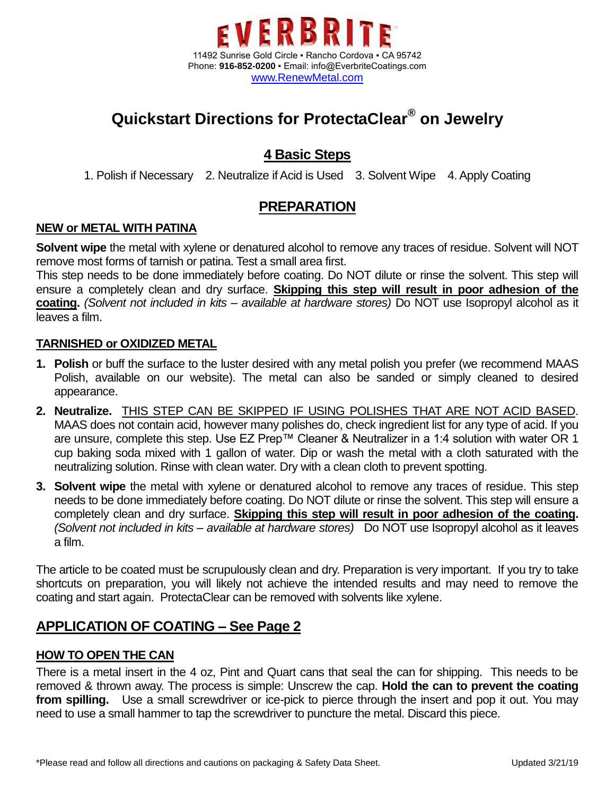

# **Quickstart Directions for ProtectaClear® on Jewelry**

### **4 Basic Steps**

1. Polish if Necessary 2. Neutralize if Acid is Used 3. Solvent Wipe 4. Apply Coating

### **PREPARATION**

#### **NEW or METAL WITH PATINA**

**Solvent wipe** the metal with xylene or denatured alcohol to remove any traces of residue. Solvent will NOT remove most forms of tarnish or patina. Test a small area first.

This step needs to be done immediately before coating. Do NOT dilute or rinse the solvent. This step will ensure a completely clean and dry surface. **Skipping this step will result in poor adhesion of the coating.** *(Solvent not included in kits – available at hardware stores)* Do NOT use Isopropyl alcohol as it leaves a film.

#### **TARNISHED or OXIDIZED METAL**

- **1. Polish** or buff the surface to the luster desired with any metal polish you prefer (we recommend MAAS Polish, available on our website). The metal can also be sanded or simply cleaned to desired appearance.
- **2. Neutralize.** THIS STEP CAN BE SKIPPED IF USING POLISHES THAT ARE NOT ACID BASED. MAAS does not contain acid, however many polishes do, check ingredient list for any type of acid. If you are unsure, complete this step. Use EZ Prep™ Cleaner & Neutralizer in a 1:4 solution with water OR 1 cup baking soda mixed with 1 gallon of water. Dip or wash the metal with a cloth saturated with the neutralizing solution. Rinse with clean water. Dry with a clean cloth to prevent spotting.
- **3. Solvent wipe** the metal with xylene or denatured alcohol to remove any traces of residue. This step needs to be done immediately before coating. Do NOT dilute or rinse the solvent. This step will ensure a completely clean and dry surface. **Skipping this step will result in poor adhesion of the coating.** *(Solvent not included in kits – available at hardware stores)* Do NOT use Isopropyl alcohol as it leaves a film.

The article to be coated must be scrupulously clean and dry. Preparation is very important. If you try to take shortcuts on preparation, you will likely not achieve the intended results and may need to remove the coating and start again. ProtectaClear can be removed with solvents like xylene.

### **APPLICATION OF COATING – See Page 2**

#### **HOW TO OPEN THE CAN**

There is a metal insert in the 4 oz, Pint and Quart cans that seal the can for shipping. This needs to be removed & thrown away. The process is simple: Unscrew the cap. **Hold the can to prevent the coating from spilling.** Use a small screwdriver or ice-pick to pierce through the insert and pop it out. You may need to use a small hammer to tap the screwdriver to puncture the metal. Discard this piece.